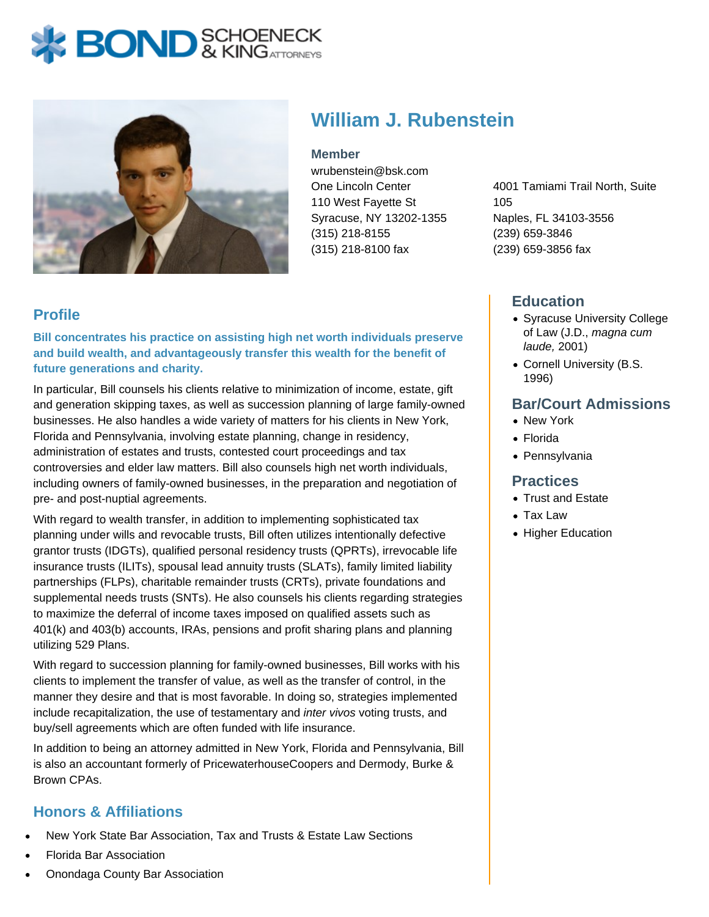# **BOND** & KING ATTORNECK



# **William J. Rubenstein**

**Member**

wrubenstein@bsk.com One Lincoln Center 110 West Fayette St Syracuse, NY 13202-1355 (315) 218-8155 (315) 218-8100 fax

4001 Tamiami Trail North, Suite 105 Naples, FL 34103-3556 (239) 659-3846 (239) 659-3856 fax

# **Profile**

**Bill concentrates his practice on assisting high net worth individuals preserve and build wealth, and advantageously transfer this wealth for the benefit of future generations and charity.**

In particular, Bill counsels his clients relative to minimization of income, estate, gift and generation skipping taxes, as well as succession planning of large family-owned businesses. He also handles a wide variety of matters for his clients in New York, Florida and Pennsylvania, involving estate planning, change in residency, administration of estates and trusts, contested court proceedings and tax controversies and elder law matters. Bill also counsels high net worth individuals, including owners of family-owned businesses, in the preparation and negotiation of pre- and post-nuptial agreements.

With regard to wealth transfer, in addition to implementing sophisticated tax planning under wills and revocable trusts, Bill often utilizes intentionally defective grantor trusts (IDGTs), qualified personal residency trusts (QPRTs), irrevocable life insurance trusts (ILITs), spousal lead annuity trusts (SLATs), family limited liability partnerships (FLPs), charitable remainder trusts (CRTs), private foundations and supplemental needs trusts (SNTs). He also counsels his clients regarding strategies to maximize the deferral of income taxes imposed on qualified assets such as 401(k) and 403(b) accounts, IRAs, pensions and profit sharing plans and planning utilizing 529 Plans.

With regard to succession planning for family-owned businesses, Bill works with his clients to implement the transfer of value, as well as the transfer of control, in the manner they desire and that is most favorable. In doing so, strategies implemented include recapitalization, the use of testamentary and inter vivos voting trusts, and buy/sell agreements which are often funded with life insurance.

In addition to being an attorney admitted in New York, Florida and Pennsylvania, Bill is also an accountant formerly of PricewaterhouseCoopers and Dermody, Burke & Brown CPAs.

# **Honors & Affiliations**

- New York State Bar Association, Tax and Trusts & Estate Law Sections
- Florida Bar Association
- Onondaga County Bar Association

#### **Education**

- Syracuse University College of Law (J.D., magna cum laude, 2001)
- Cornell University (B.S. 1996)

### **Bar/Court Admissions**

- New York
- Florida
- Pennsylvania

#### **Practices**

- Trust and Estate
- Tax Law
- Higher Education